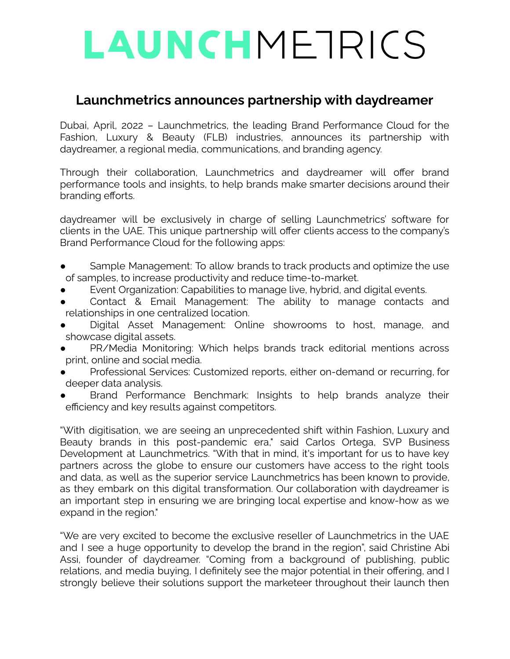# LAUNCHMETRICS

### **Launchmetrics announces partnership with daydreamer**

Dubai, April, 2022 – Launchmetrics, the leading Brand Performance Cloud for the Fashion, Luxury & Beauty (FLB) industries, announces its partnership with daydreamer, a regional media, communications, and branding agency.

Through their collaboration, Launchmetrics and daydreamer will offer brand performance tools and insights, to help brands make smarter decisions around their branding efforts.

daydreamer will be exclusively in charge of selling Launchmetrics' software for clients in the UAE. This unique partnership will offer clients access to the company's Brand Performance Cloud for the following apps:

- Sample Management: To allow brands to track products and optimize the use of samples, to increase productivity and reduce time-to-market.
- Event Organization: Capabilities to manage live, hybrid, and digital events.
- Contact & Email Management: The ability to manage contacts and relationships in one centralized location.
- Digital Asset Management: Online showrooms to host, manage, and showcase digital assets.
- PR/Media Monitoring: Which helps brands track editorial mentions across print, online and social media.
- Professional Services: Customized reports, either on-demand or recurring, for deeper data analysis.
- Brand Performance Benchmark: Insights to help brands analyze their efficiency and key results against competitors.

"With digitisation, we are seeing an unprecedented shift within Fashion, Luxury and Beauty brands in this post-pandemic era," said Carlos Ortega, SVP Business Development at Launchmetrics. "With that in mind, it's important for us to have key partners across the globe to ensure our customers have access to the right tools and data, as well as the superior service Launchmetrics has been known to provide, as they embark on this digital transformation. Our collaboration with daydreamer is an important step in ensuring we are bringing local expertise and know-how as we expand in the region."

"We are very excited to become the exclusive reseller of Launchmetrics in the UAE and I see a huge opportunity to develop the brand in the region", said Christine Abi Assi, founder of daydreamer. "Coming from a background of publishing, public relations, and media buying, I definitely see the major potential in their offering, and I strongly believe their solutions support the marketeer throughout their launch then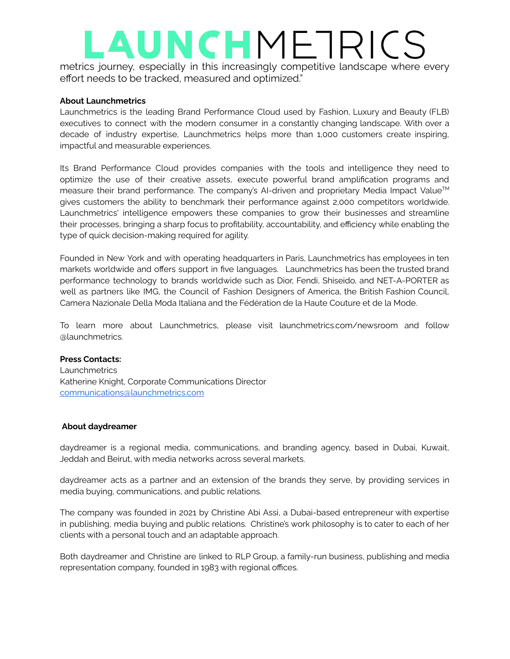## LAUNCHMETRICS

metrics journey, especially in this increasingly competitive landscape where every effort needs to be tracked, measured and optimized."

#### **About Launchmetrics**

Launchmetrics is the leading Brand Performance Cloud used by Fashion, Luxury and Beauty (FLB) executives to connect with the modern consumer in a constantly changing landscape. With over a decade of industry expertise, Launchmetrics helps more than 1,000 customers create inspiring, impactful and measurable experiences.

Its Brand Performance Cloud provides companies with the tools and intelligence they need to optimize the use of their creative assets, execute powerful brand amplification programs and measure their brand performance. The company's AI-driven and proprietary Media Impact Value™ gives customers the ability to benchmark their performance against 2,000 competitors worldwide. Launchmetrics' intelligence empowers these companies to grow their businesses and streamline their processes, bringing a sharp focus to profitability, accountability, and efficiency while enabling the type of quick decision-making required for agility.

Founded in New York and with operating headquarters in Paris, Launchmetrics has employees in ten markets worldwide and offers support in five languages. Launchmetrics has been the trusted brand performance technology to brands worldwide such as Dior, Fendi, Shiseido, and NET-A-PORTER as well as partners like IMG, the Council of Fashion Designers of America, the British Fashion Council, Camera Nazionale Della Moda Italiana and the Fédération de la Haute Couture et de la Mode.

To learn more about Launchmetrics, please visit [launchmetrics.com/newsroom](http://launchmetrics.com/newsroom) and follow [@launchmetrics.](https://www.instagram.com/launchmetrics/?hl=en)

#### **Press Contacts:**

**Launchmetrics** Katherine Knight, Corporate Communications Director [communications@launchmetrics.com](mailto:communications@launchmetrics.com)

#### **About daydreamer**

daydreamer is a regional media, communications, and branding agency, based in Dubai, Kuwait, Jeddah and Beirut, with media networks across several markets.

daydreamer acts as a partner and an extension of the brands they serve, by providing services in media buying, communications, and public relations.

The company was founded in 2021 by Christine Abi Assi, a Dubai-based entrepreneur with expertise in publishing, media buying and public relations. Christine's work philosophy is to cater to each of her clients with a personal touch and an adaptable approach.

Both daydreamer and Christine are linked to RLP Group, a family-run business, publishing and media representation company, founded in 1983 with regional offices.